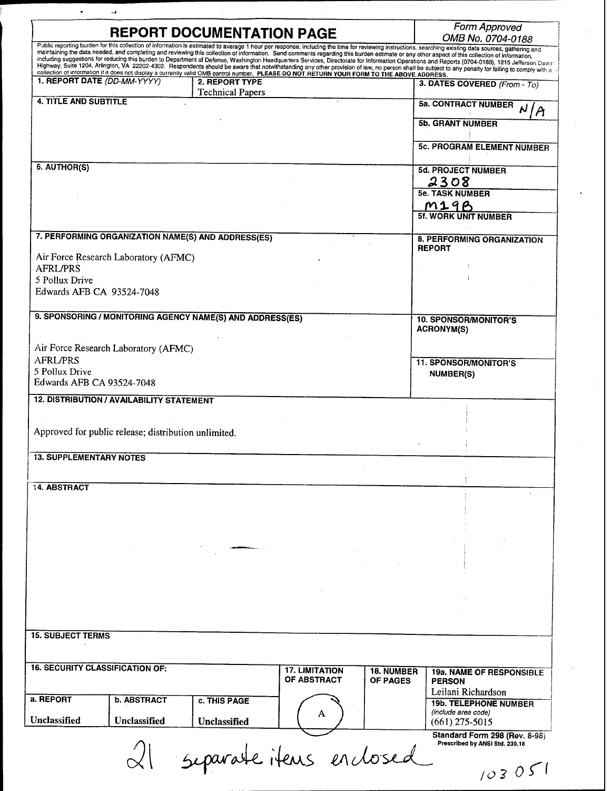| <b>REPORT DOCUMENTATION PAGE</b>                                                                                                                                                                                                                                                                                                                                                                 |                         | Form Approved<br>OMB No. 0704-0188 |                   |                                                                 |  |
|--------------------------------------------------------------------------------------------------------------------------------------------------------------------------------------------------------------------------------------------------------------------------------------------------------------------------------------------------------------------------------------------------|-------------------------|------------------------------------|-------------------|-----------------------------------------------------------------|--|
| Public reporting burden for this collection of information is estimated to average 1 hour per response, including the time for reviewing instructions, searching existing data sources, gathering and                                                                                                                                                                                            |                         |                                    |                   |                                                                 |  |
| maintaining the data needed, and completing and reviewing this collection of information. Send comments regarding this burden estimate or any other aspect of this collection of information,<br>including suggestions for reducing this burden to Department of Defense, Washington Headquarters Services, Directorate for Information Operations and Reports (0704-0188), 1215 Jefferson Davis |                         |                                    |                   |                                                                 |  |
| Highway, Suite 1204, Arlington, VA 22202-4302. Respondents should be aware that notwithstanding any other provision of law, no person shall be subject to any penalty for failing to comply with a<br>collection of information if it does not display a currently valid OMB control number. PLEASE DO NOT RETURN YOUR FORM TO THE ABOVE ADDRESS.                                                |                         |                                    |                   |                                                                 |  |
| 1. REPORT DATE (DD-MM-YYYY)                                                                                                                                                                                                                                                                                                                                                                      | 2. REPORT TYPE          |                                    |                   | 3. DATES COVERED (From - To)                                    |  |
|                                                                                                                                                                                                                                                                                                                                                                                                  | <b>Technical Papers</b> |                                    |                   |                                                                 |  |
| <b>4. TITLE AND SUBTITLE</b>                                                                                                                                                                                                                                                                                                                                                                     |                         |                                    |                   | <b>5a. CONTRACT NUMBER</b>                                      |  |
|                                                                                                                                                                                                                                                                                                                                                                                                  |                         |                                    |                   | $\boldsymbol{\mathsf{A}}$                                       |  |
|                                                                                                                                                                                                                                                                                                                                                                                                  |                         |                                    |                   | <b>5b. GRANT NUMBER</b>                                         |  |
|                                                                                                                                                                                                                                                                                                                                                                                                  |                         |                                    |                   |                                                                 |  |
|                                                                                                                                                                                                                                                                                                                                                                                                  |                         |                                    |                   | <b>5c. PROGRAM ELEMENT NUMBER</b>                               |  |
|                                                                                                                                                                                                                                                                                                                                                                                                  |                         |                                    |                   |                                                                 |  |
| 6. AUTHOR(S)                                                                                                                                                                                                                                                                                                                                                                                     |                         |                                    |                   |                                                                 |  |
|                                                                                                                                                                                                                                                                                                                                                                                                  |                         |                                    |                   | <b>5d. PROJECT NUMBER</b>                                       |  |
|                                                                                                                                                                                                                                                                                                                                                                                                  |                         |                                    |                   | 2308                                                            |  |
|                                                                                                                                                                                                                                                                                                                                                                                                  |                         |                                    |                   | <b>5e. TASK NUMBER</b>                                          |  |
|                                                                                                                                                                                                                                                                                                                                                                                                  |                         |                                    |                   | M19B                                                            |  |
|                                                                                                                                                                                                                                                                                                                                                                                                  |                         |                                    |                   | <b>5f. WORK UNIT NUMBER</b>                                     |  |
|                                                                                                                                                                                                                                                                                                                                                                                                  |                         |                                    |                   |                                                                 |  |
| 7. PERFORMING ORGANIZATION NAME(S) AND ADDRESS(ES)                                                                                                                                                                                                                                                                                                                                               |                         |                                    |                   |                                                                 |  |
|                                                                                                                                                                                                                                                                                                                                                                                                  |                         |                                    |                   | 8. PERFORMING ORGANIZATION<br><b>REPORT</b>                     |  |
| Air Force Research Laboratory (AFMC)                                                                                                                                                                                                                                                                                                                                                             |                         |                                    |                   |                                                                 |  |
| <b>AFRL/PRS</b>                                                                                                                                                                                                                                                                                                                                                                                  |                         |                                    |                   |                                                                 |  |
|                                                                                                                                                                                                                                                                                                                                                                                                  |                         |                                    |                   |                                                                 |  |
| 5 Pollux Drive                                                                                                                                                                                                                                                                                                                                                                                   |                         |                                    |                   |                                                                 |  |
| Edwards AFB CA 93524-7048                                                                                                                                                                                                                                                                                                                                                                        |                         |                                    |                   |                                                                 |  |
|                                                                                                                                                                                                                                                                                                                                                                                                  |                         |                                    |                   |                                                                 |  |
| 9. SPONSORING / MONITORING AGENCY NAME(S) AND ADDRESS(ES)                                                                                                                                                                                                                                                                                                                                        |                         |                                    |                   |                                                                 |  |
|                                                                                                                                                                                                                                                                                                                                                                                                  |                         |                                    |                   | <b>10. SPONSOR/MONITOR'S</b>                                    |  |
|                                                                                                                                                                                                                                                                                                                                                                                                  |                         |                                    |                   | <b>ACRONYM(S)</b>                                               |  |
| Air Force Research Laboratory (AFMC)                                                                                                                                                                                                                                                                                                                                                             |                         |                                    |                   |                                                                 |  |
|                                                                                                                                                                                                                                                                                                                                                                                                  |                         |                                    |                   |                                                                 |  |
| <b>AFRL/PRS</b>                                                                                                                                                                                                                                                                                                                                                                                  |                         |                                    |                   | <b>11. SPONSOR/MONITOR'S</b>                                    |  |
| 5 Pollux Drive                                                                                                                                                                                                                                                                                                                                                                                   |                         |                                    |                   | <b>NUMBER(S)</b>                                                |  |
| Edwards AFB CA 93524-7048                                                                                                                                                                                                                                                                                                                                                                        |                         |                                    |                   |                                                                 |  |
| <b>12. DISTRIBUTION / AVAILABILITY STATEMENT</b>                                                                                                                                                                                                                                                                                                                                                 |                         |                                    |                   |                                                                 |  |
|                                                                                                                                                                                                                                                                                                                                                                                                  |                         |                                    |                   |                                                                 |  |
|                                                                                                                                                                                                                                                                                                                                                                                                  |                         |                                    |                   |                                                                 |  |
| Approved for public release; distribution unlimited.                                                                                                                                                                                                                                                                                                                                             |                         |                                    |                   |                                                                 |  |
|                                                                                                                                                                                                                                                                                                                                                                                                  |                         |                                    |                   |                                                                 |  |
|                                                                                                                                                                                                                                                                                                                                                                                                  |                         |                                    |                   |                                                                 |  |
| <b>13. SUPPLEMENTARY NOTES</b>                                                                                                                                                                                                                                                                                                                                                                   |                         |                                    |                   |                                                                 |  |
|                                                                                                                                                                                                                                                                                                                                                                                                  |                         |                                    |                   |                                                                 |  |
|                                                                                                                                                                                                                                                                                                                                                                                                  |                         |                                    |                   |                                                                 |  |
| 14 ABSTRACT                                                                                                                                                                                                                                                                                                                                                                                      |                         |                                    |                   |                                                                 |  |
|                                                                                                                                                                                                                                                                                                                                                                                                  |                         |                                    |                   |                                                                 |  |
|                                                                                                                                                                                                                                                                                                                                                                                                  |                         |                                    |                   |                                                                 |  |
|                                                                                                                                                                                                                                                                                                                                                                                                  |                         |                                    |                   |                                                                 |  |
|                                                                                                                                                                                                                                                                                                                                                                                                  |                         |                                    |                   |                                                                 |  |
|                                                                                                                                                                                                                                                                                                                                                                                                  |                         |                                    |                   |                                                                 |  |
|                                                                                                                                                                                                                                                                                                                                                                                                  |                         |                                    |                   |                                                                 |  |
|                                                                                                                                                                                                                                                                                                                                                                                                  |                         |                                    |                   |                                                                 |  |
|                                                                                                                                                                                                                                                                                                                                                                                                  |                         |                                    |                   |                                                                 |  |
|                                                                                                                                                                                                                                                                                                                                                                                                  |                         |                                    |                   |                                                                 |  |
|                                                                                                                                                                                                                                                                                                                                                                                                  |                         |                                    |                   |                                                                 |  |
|                                                                                                                                                                                                                                                                                                                                                                                                  |                         |                                    |                   |                                                                 |  |
|                                                                                                                                                                                                                                                                                                                                                                                                  |                         |                                    |                   |                                                                 |  |
|                                                                                                                                                                                                                                                                                                                                                                                                  |                         |                                    |                   |                                                                 |  |
|                                                                                                                                                                                                                                                                                                                                                                                                  |                         |                                    |                   |                                                                 |  |
|                                                                                                                                                                                                                                                                                                                                                                                                  |                         |                                    |                   |                                                                 |  |
|                                                                                                                                                                                                                                                                                                                                                                                                  |                         |                                    |                   |                                                                 |  |
|                                                                                                                                                                                                                                                                                                                                                                                                  |                         |                                    |                   |                                                                 |  |
|                                                                                                                                                                                                                                                                                                                                                                                                  |                         |                                    |                   |                                                                 |  |
|                                                                                                                                                                                                                                                                                                                                                                                                  |                         | <b>17. LIMITATION</b>              | <b>18. NUMBER</b> |                                                                 |  |
|                                                                                                                                                                                                                                                                                                                                                                                                  |                         | <b>OF ABSTRACT</b>                 | <b>OF PAGES</b>   | <b>PERSON</b>                                                   |  |
| <b>15. SUBJECT TERMS</b><br><b>16. SECURITY CLASSIFICATION OF:</b>                                                                                                                                                                                                                                                                                                                               |                         |                                    |                   |                                                                 |  |
| <b>b. ABSTRACT</b>                                                                                                                                                                                                                                                                                                                                                                               | c. THIS PAGE            |                                    |                   | Leilani Richardson                                              |  |
|                                                                                                                                                                                                                                                                                                                                                                                                  |                         |                                    |                   | <b>19b. TELEPHONE NUMBER</b>                                    |  |
| a. REPORT<br>Unclassified                                                                                                                                                                                                                                                                                                                                                                        |                         | A                                  |                   | <b>19a. NAME OF RESPONSIBLE</b><br>(include area code)          |  |
| Unclassified                                                                                                                                                                                                                                                                                                                                                                                     | Unclassified            |                                    |                   | (661) 275-5015                                                  |  |
|                                                                                                                                                                                                                                                                                                                                                                                                  |                         |                                    |                   |                                                                 |  |
|                                                                                                                                                                                                                                                                                                                                                                                                  | separate items en dosed |                                    |                   | Standard Form 298 (Rev. 8-98)<br>Prescribed by ANSI Std. 239.18 |  |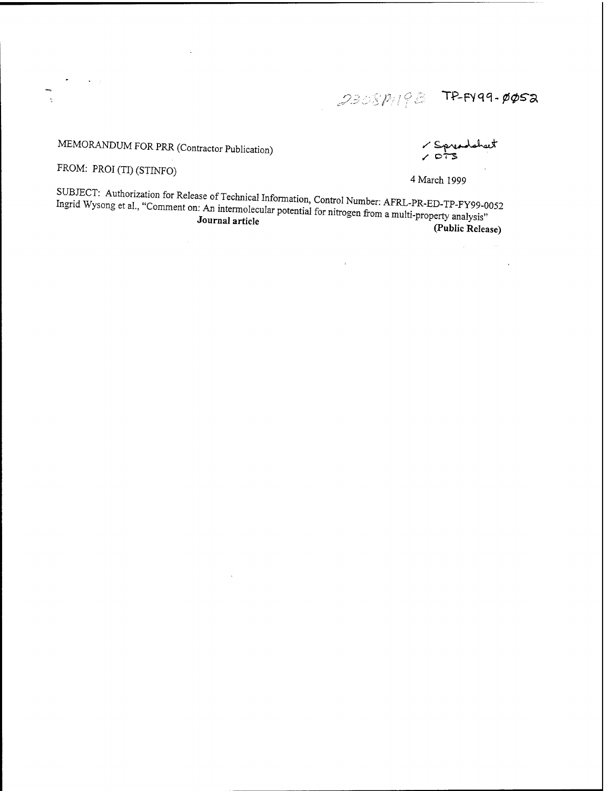$\mathbb{P}_{\ell}$  /  $\varphi$   $\beta$   $\geq$   $\mathsf{TP}\text{-}\mathsf{F}$ Y99.  $\mathsf{p}\varphi$ sa

## MEMORANDUM FOR PRR (Contractor Publication) *'*^^^-UJr

 $\overline{a}$ 

FROM: PROI (TI) (STINFO)

 $\mathbf{v} = \mathbf{y}$ 

 $\epsilon$ 

4 March 1999<br>SUBJECT: Authorization for Release of Technical Information, Control Number: AFRL-PR-ED-TP-FY99-0052 Ingrid Wysong et al., "Comment on: An intermolecular potential for nitrogen from a multi-property analysis"<br>Journal article<br>Journal article Journal article **(Public Release)**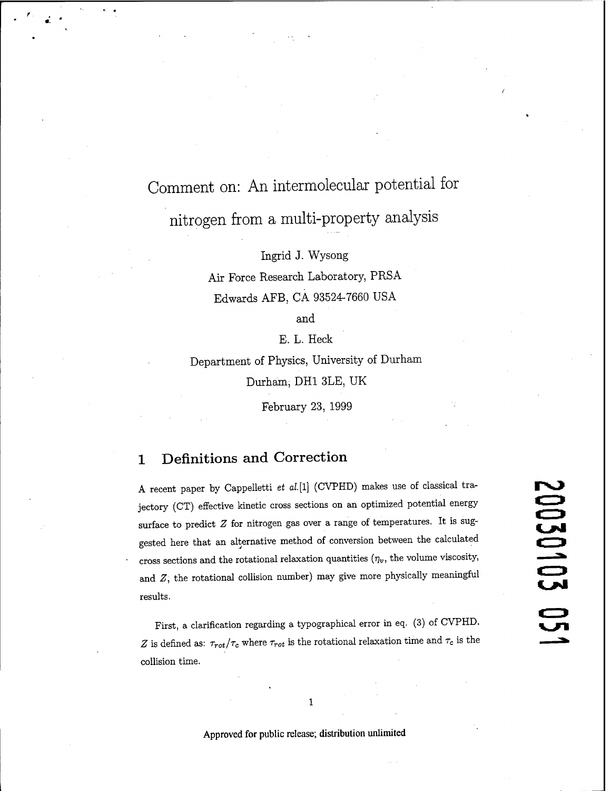# Comment on: An intermolecular potential for nitrogen from a multi-property analysis

Ingrid J. Wysong

Air Force Research Laboratory, PRSA Edwards AFB, CA 93524-7660 USA

and

E. L. Heck

Department of Physics, University of Durham Durham, DH1 3LE, UK

February 23, 1999

### <sup>1</sup> Definitions and Correction

A recent paper by Cappelletti *et al.[l]* (CVPHD) makes use of classical trajectory (CT) effective kinetic cross sections on an optimized potential energy surface to predict *Z* for nitrogen gas over a range of temperatures. It is suggested here that an alternative method of conversion between the calculated cross sections and the rotational relaxation quantities  $(\eta_v,$  the volume viscosity, and *Z,* the rotational collision number) may give more physically meaningful results.

First, a clarification regarding a typographical error in eq. (3) of CVPHD. *Z* is defined as:  $\tau_{rot}/\tau_c$  where  $\tau_{rot}$  is the rotational relaxation time and  $\tau_c$  is the collision time.

 $\mathbf{1}$ 

**Approved for public release; distribution unlimited**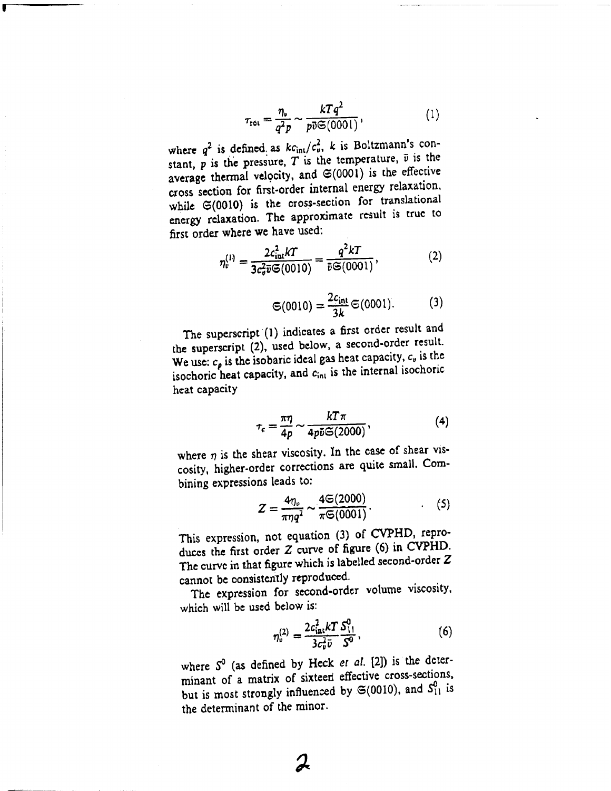$$
\tau_{\text{rot}} = \frac{\eta_v}{q^2 p} \sim \frac{kTq^2}{p\bar{v}\mathfrak{S}(0001)},\tag{1}
$$

where  $q^2$  is defined as  $k c_{\text{int}}/c_v^2$ , k is Boltzmann's constant,  $\overline{p}$  is the pressure,  $\overline{T}$  is the temperature,  $\overline{v}$  is the average thermal velocity, and  $\mathfrak{S}(0001)$  is the effective cross section for first-order internal energy relaxation, while  $\mathfrak{S}(0010)$  is the cross-section for translational energy relaxation. The approximate result is true to first order where we have used:

$$
\eta_v^{(1)} = \frac{2c_{\text{int}}^2 kT}{3c_v^2 \bar{v} \mathfrak{S}(0010)} = \frac{q^2 kT}{\bar{v} \mathfrak{S}(0001)},
$$
(2)

$$
\mathfrak{S}(0010) = \frac{2c_{\rm int}}{3k} \mathfrak{S}(0001). \tag{3}
$$

The superscript (1) indicates a first order result and the superscript (2), used below, a second-order result. We use:  $c_p$  is the isobaric ideal gas heat capacity,  $c_v$  is the isochoric heat capacity, and  $c_{\text{int}}$  is the internal isochoric heat capacity

$$
\tau_{\epsilon} = \frac{\pi \eta}{4p} \sim \frac{kT \pi}{4p\bar{\upsilon} \mathfrak{S}(2000)},\tag{4}
$$

where  $\eta$  is the shear viscosity. In the case of shear viscosity, higher-order corrections are quite small. Combining expressions leads to:

ns leads to:  
\n
$$
Z = \frac{4\eta_v}{\pi\eta q^2} \sim \frac{4\mathfrak{S}(2000)}{\pi\mathfrak{S}(0001)}.
$$
\n(5)

This expression, not equation (3) of CVPHD, reproduces the first order 2 curve of figure (6) in CVPHD. The curve in that figure which is labelled second-order Z cannot be consistently reproduced.

The expression for second-order volume viscosity, which will be used below is:

$$
\eta_v^{(2)} = \frac{2c_{\text{int}}^2 kT S_{11}^0}{3c_v^2 \bar{v}} ,\qquad(6)
$$

where  $S^0$  (as defined by Heck *et al.* [2]) is the determinant of a matrix of sixteeri effective cross-sections, but is most strongly influenced by  $\mathfrak{S}(0010)$ , and  $S_{11}^0$  is the determinant of the minor.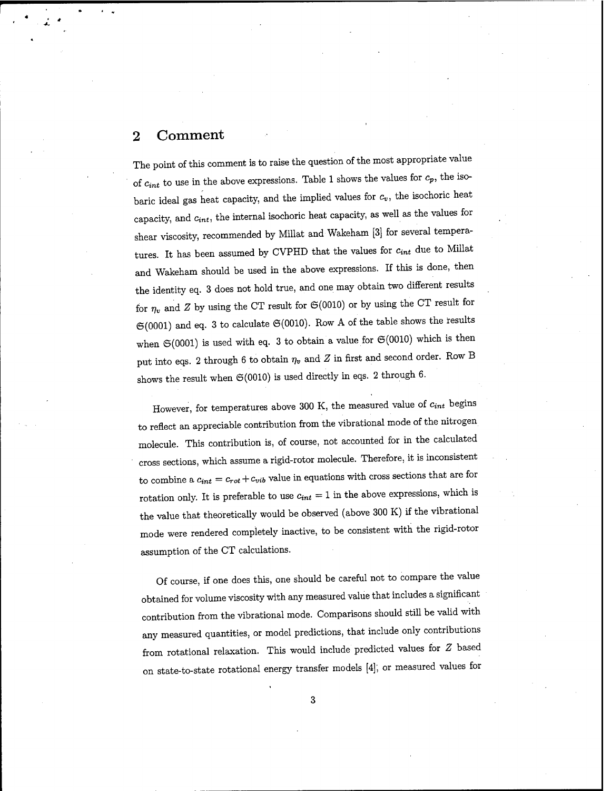### 2 Comment

The point of this comment is to raise the question of the most appropriate value of  $c_{int}$  to use in the above expressions. Table 1 shows the values for  $c_p$ , the isobaric ideal gas heat capacity, and the implied values for  $c_v$ , the isochoric heat capacity, and  $c_{int}$ , the internal isochoric heat capacity, as well as the values for shear viscosity, recommended by Millat and Wakeham [3] for several temperatures. It has been assumed by CVPHD that the values for  $c_{int}$  due to Millat and Wakeham should be used in the above expressions. If this is done, then the identity eq. 3 does not hold true, and one may obtain two different results for  $\eta_v$  and *Z* by using the CT result for  $\mathfrak{S}(0010)$  or by using the CT result for  $\mathfrak{S}(0001)$  and eq. 3 to calculate  $\mathfrak{S}(0010)$ . Row A of the table shows the results when  $\mathfrak{S}(0001)$  is used with eq. 3 to obtain a value for  $\mathfrak{S}(0010)$  which is then put into eqs. 2 through 6 to obtain  $\eta_v$  and *Z* in first and second order. Row B shows the result when  $\mathfrak{S}(0010)$  is used directly in eqs. 2 through 6.

However, for temperatures above 300 K, the measured value of *cint* begins to reflect an appreciable contribution from the vibrational mode of the nitrogen molecule. This contribution is, of course, not accounted for in the calculated cross sections, which assume a rigid-rotor molecule. Therefore, it is inconsistent to combine a  $c_{int} = c_{rot} + c_{vib}$  value in equations with cross sections that are for rotation only. It is preferable to use *cint* = <sup>1</sup> in the above expressions, which is the value that theoretically would be observed (above 300 K) if the vibrational mode were rendered completely inactive, to be consistent with the rigid-rotor assumption of the CT calculations.

Of course, if one does this, one should be careful not to compare the value obtained for volume viscosity with any measured value that includes a significant contribution from the vibrational mode. Comparisons should still be valid with any measured quantities, or model predictions, that include only contributions from rotational relaxation. This would include predicted values for *Z* based on state-to-state rotational energy transfer models [4]; or measured values for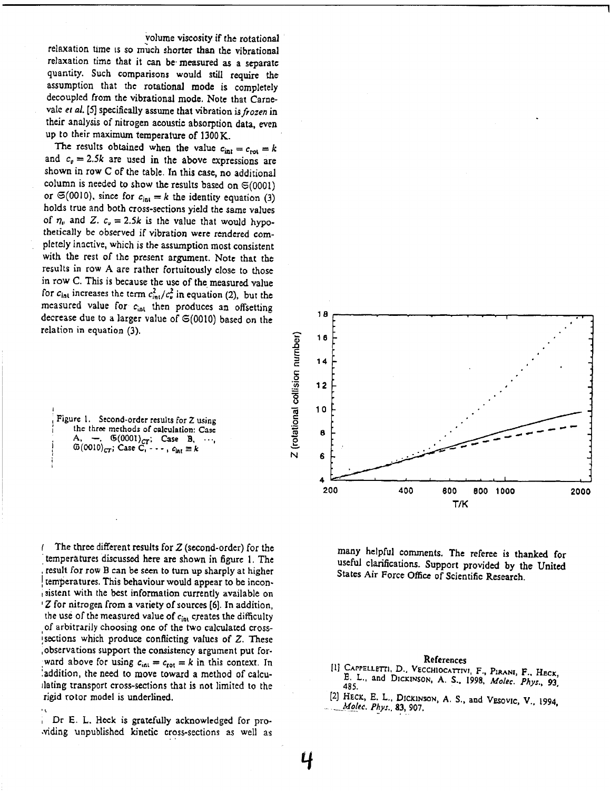volume viscosity if the rotational

relaxation time is so much shorter than the vibrational relaxation time that it can be-measured as a separate quantity. Such comparisons would still require the assumption that the rotational mode is completely decoupled from the vibrational mode. Note that Carnevalc *et al.* [5] specifically assume that vibration *isfrozen* in their analysis of nitrogen acoustic absorption data, even up to their maximum temperature of 1300K.

The results obtained when the value  $c_{\text{int}} = c_{\text{rot}} = k$ and  $c_v = 2.5k$  are used in the above expressions are shown in row C of the table. In this case, no additional column is needed to show the results based on  $\mathfrak{S}(0001)$ or  $\mathfrak{S}(0010)$ , since for  $c_{\text{int}} = k$  the identity equation (3) holds true and both cross-sections yield the same values of  $\eta_v$  and Z.  $c_v = 2.5k$  is the value that would hypothetically be observed if vibration were rendered completely inactive, which is the assumption most consistent with the rest of the present argument. Note that the results in row A are rather fortuitously close to those in row C. This is because the use of the measured value for  $c_{\text{int}}$  increases the term  $c_{\text{int}}^2/c_v^2$  in equation (2), but the measured value for  $c<sub>int</sub>$  then produces an offsetting decrease due to a larger value of S(0010) based on the relation in equation (3).

**<sup>i</sup> Figure 1. Second-order results for 2 using [ the three methods of calculation: Case**  $A, \leftarrow, \quad \Phi(0001)_{CT}$ ; Case B,  $\cdots$ , **I**  $\omega = \omega_0^2 (0010)_{CT}$ ; Case  $\widetilde{C}_1^* - \cdots$ ,  $c_{\text{int}} \equiv k$ 

*<sup>I</sup>* The three different results for *Z* (second-order) for the *\* temperatures discussed here are shown in figure 1. The result for row B can be seen to turn up sharply at higher temperatures. This behaviour would appear to be incon<sup>i</sup> sistent with the best information currently available on  $1Z$  for nitrogen from a variety of sources [6]. In addition, the use of the measured value of  $c_{\text{int}}$  creates the difficulty of arbitrarily choosing one of the two calculated cross- $\mu$  isections which produce conflicting values of Z. These .observations support the consistency argument put forward above for using  $c_{int} = c_{rot} = k$  in this context. In !addition, the need to move toward a method of calculating transport cross-sections that is not limited to the rigid rotor model is underlined.

Dr E. L. Heck is gratefully acknowledged for pro-.viding unpublished kinetic cross-sections as well as

\*.



many helpful comments. The referee is thanked for useful clarifications. Support provided by the United States Air Force Office of Scientific Research.

#### References

- **[1] CAPPELLETTI D.. VECCHIOCATTIV,, F., PlKANf, F., HfiCK EL., and DICXINSON, A. S.. 1998,** *Molec. Phys.,* **93,**
- **[2] HECK, E. L.. DICKINSON, A. S., and VESOVIC. V 1994** *-^\_ Molec. Phys..&3, 907.* **•.•«\*,**